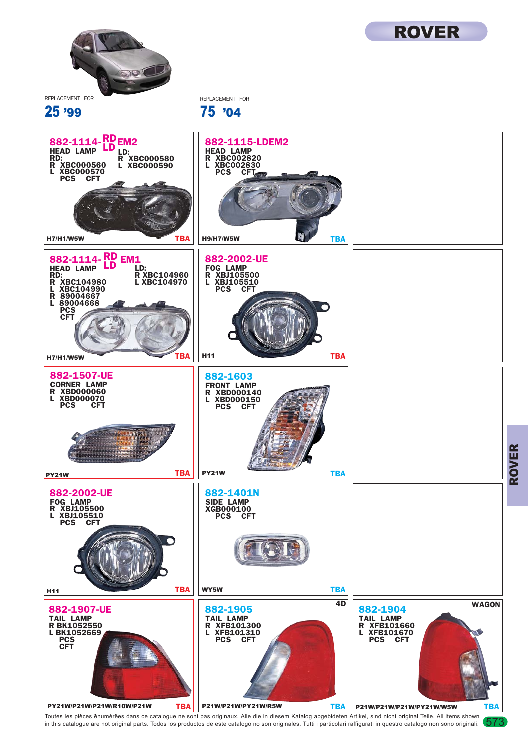

25 '99

REPLACEMENT FOR 75 '04



Toutes les pièces enumérées dans ce catalogue ne sont pas originaux. Alle die in diesem Katalog abgebideten Artikel, sind nicht original Teile. All items shown (573<br>in this catalogue are not original parts. Todos los produ

ROVER

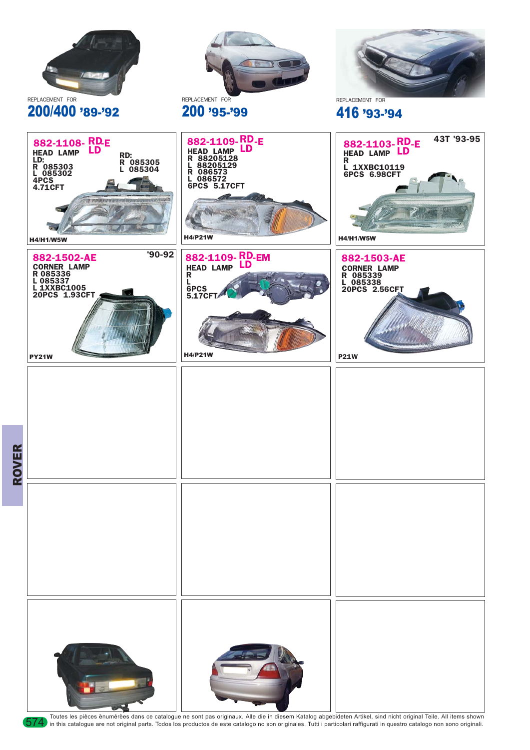

Toutes les pièces énumérées dans ce catalogue ne sont pas originaux. Alle die in diesem Katalog abgebideten Artikel, sind nicht original Teile. All items shown 574 in this catalogue are not original parts. Todos los produc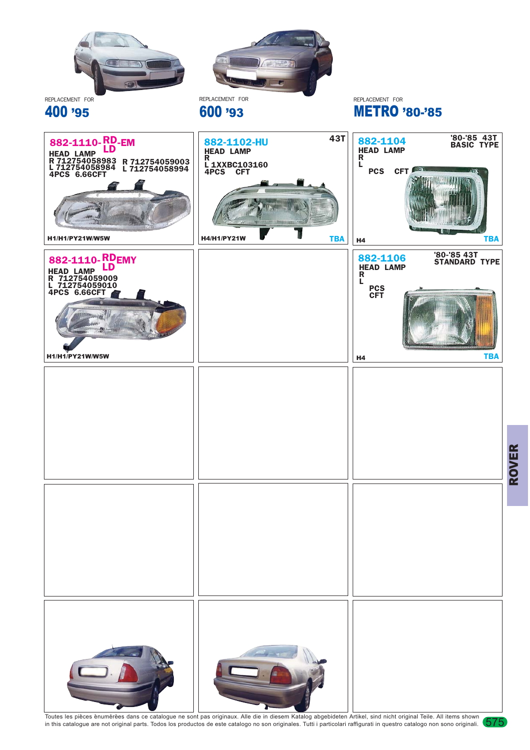

Toutes les pièces enumérées dans ce catalogue ne sont pas originaux. Alle die in diesem Katalog abgebideten Artikel, sind nicht original Teile. All items shown (575<br>in this catalogue are not original parts. Todos los produ

ROVER